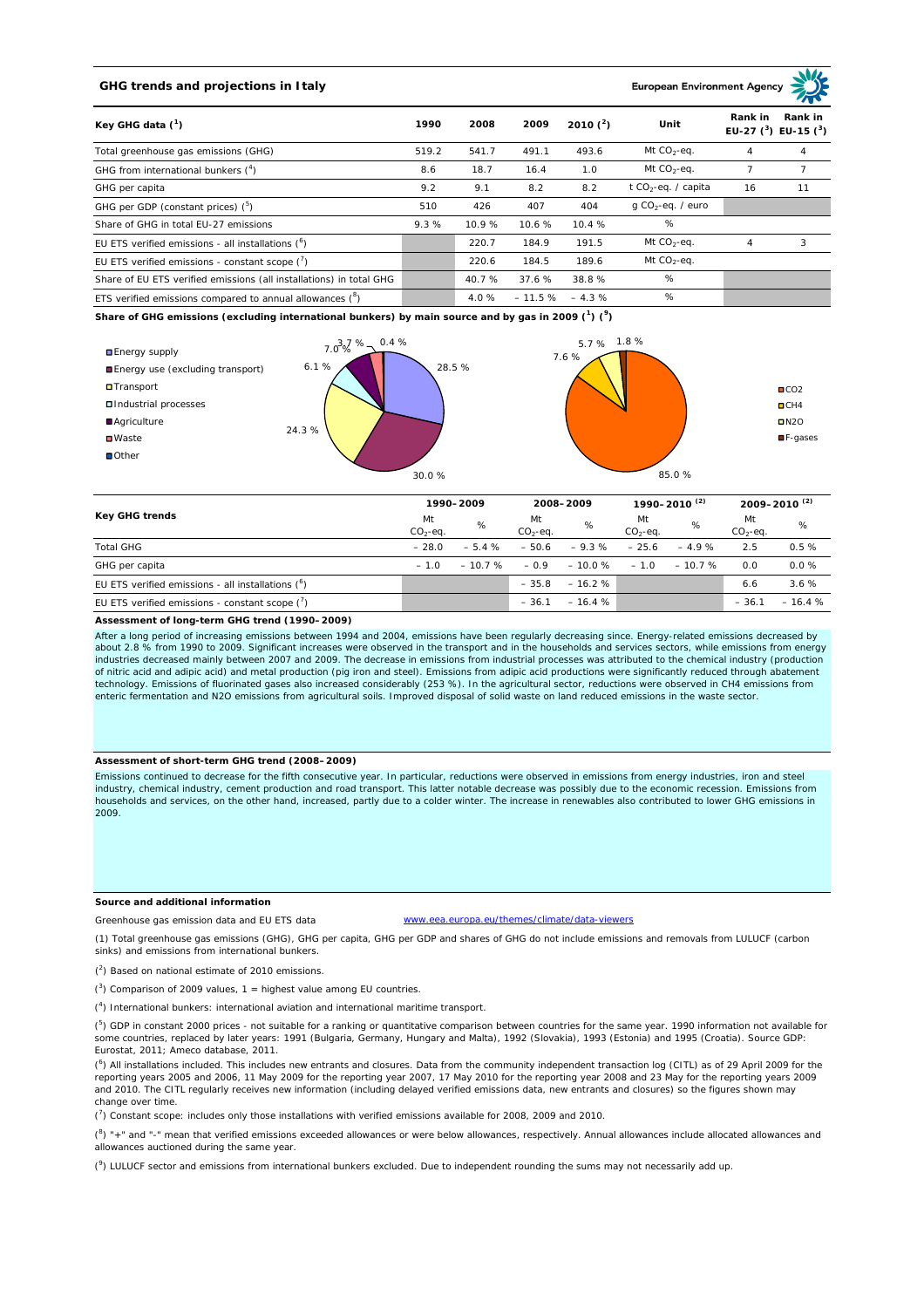# **GHG trends and projections in Italy**

**European Environment Ag** 

| Key GHG data $(^1)$                                                 |       | 2008   | 2009     | 2010 $(^{2})$ | Unit                            | Rank in<br>Rank in<br>EU-27 $(^3)$ EU-15 $(^3)$ |    |
|---------------------------------------------------------------------|-------|--------|----------|---------------|---------------------------------|-------------------------------------------------|----|
| Total greenhouse gas emissions (GHG)                                | 519.2 | 541.7  | 491.1    | 493.6         | Mt $CO2$ -eq.                   | 4                                               | 4  |
| GHG from international bunkers $(^4)$                               | 8.6   | 18.7   | 16.4     | 1.0           | Mt $CO_2$ -eq.                  |                                                 |    |
| GHG per capita                                                      | 9.2   | 9.1    | 8.2      | 8.2           | t CO <sub>2</sub> -eq. / capita | 16                                              | 11 |
| GHG per GDP (constant prices) $(^5)$                                | 510   | 426    | 407      | 404           | $q$ CO <sub>2</sub> -eq. / euro |                                                 |    |
| Share of GHG in total EU-27 emissions                               | 9.3%  | 10.9%  | 10.6%    | 10.4%         | %                               |                                                 |    |
| EU ETS verified emissions - all installations $(°)$                 |       | 220.7  | 184.9    | 191.5         | Mt $CO_2$ -eq.                  | 4                                               | 3  |
| EU ETS verified emissions - constant scope $(7)$                    |       | 220.6  | 184.5    | 189.6         | Mt $CO_2$ -eq.                  |                                                 |    |
| Share of EU ETS verified emissions (all installations) in total GHG |       | 40.7 % | 37.6%    | 38.8%         | %                               |                                                 |    |
| ETS verified emissions compared to annual allowances $(^8)$         |       | 4.0%   | $-11.5%$ | $-4.3%$       | %                               |                                                 |    |

**Share of GHG emissions (excluding international bunkers) by main source and by gas in 2009 (<sup>1</sup> ) (<sup>9</sup> )**



| Key GHG trends                                       |                 | 1990-2009       |                  | 2008-2009 |                 | 1990–2010 <sup>(2)</sup> |                  | $2009 - 2010^{(2)}$ |  |
|------------------------------------------------------|-----------------|-----------------|------------------|-----------|-----------------|--------------------------|------------------|---------------------|--|
|                                                      | Mt<br>$CO2-ea.$ | %               | Mt<br>$CO2-ea$ . | %         | Mt<br>$CO2-ea.$ | %                        | Mt<br>$CO2-ea$ . | %                   |  |
| <b>Total GHG</b>                                     | $-28.0$         | $-5.4%$         | $-50.6$          | $-9.3%$   | $-25.6$         | $-4.9%$                  | 2.5              | 0.5%                |  |
| GHG per capita                                       | $-10$           | $-10.7\% - 0.9$ |                  | $-10.0%$  | $-1.0$          | $-10.7%$                 | 0.0              | $0.0 \%$            |  |
| EU ETS verified emissions - all installations $(^6)$ |                 |                 | $-35.8$          | $-16.2%$  |                 |                          | 6.6              | 3.6%                |  |
| EU ETS verified emissions - constant scope $(7)$     |                 |                 | $-36.1$          | $-16.4%$  |                 |                          | $-36.1$          | $-16.4%$            |  |

#### **Assessment of long-term GHG trend (1990–2009)**

After a long period of increasing emissions between 1994 and 2004, emissions have been regularly decreasing since. Energy-related emissions decreased by about 2.8 % from 1990 to 2009. Significant increases were observed in the transport and in the households and services sectors, while emissions from energy<br>industries decreased mainly between 2007 and 2009. The decrease in of nitric acid and adipic acid) and metal production (pig iron and steel). Emissions from adipic acid productions were significantly reduced through abatement technology. Emissions of fluorinated gases also increased considerably (253 %). In the agricultural sector, reductions were observed in CH4 emissions from enteric fermentation and N2O emissions from agricultural soils. Improved disposal of solid waste on land reduced emissions in the waste sector.

## **Assessment of short-term GHG trend (2008–2009)**

Emissions continued to decrease for the fifth consecutive year. In particular, reductions were observed in emissions from energy industries, iron and steel industry, chemical industry, cement production and road transport. This latter notable decrease was possibly due to the economic recession. Emissions from households and services, on the other hand, increased, partly due to a colder winter. The increase in renewables also contributed to lower GHG emissions in 2009.

## **Source and additional information**

Greenhouse gas emission data and EU ETS data www.eea.europa.eu/themes/climate/data-viewers

(1) Total greenhouse gas emissions (GHG), GHG per capita, GHG per GDP and shares of GHG do not include emissions and removals from LULUCF (carbon sinks) and emissions from international bunkers.

( 2 ) Based on national estimate of 2010 emissions.

 $(3)$  Comparison of 2009 values, 1 = highest value among EU countries.

( 4 ) International bunkers: international aviation and international maritime transport.

 $(^{5})$  GDP in constant 2000 prices - not suitable for a ranking or quantitative comparison between countries for the same year. 1990 information not available for some countries, replaced by later years: 1991 (Bulgaria, Germany, Hungary and Malta), 1992 (Slovakia), 1993 (Estonia) and 1995 (Croatia). Source GDP: Eurostat, 2011; Ameco database, 2011.

(<sup>6</sup>) All installations included. This includes new entrants and closures. Data from the community independent transaction log (CITL) as of 29 April 2009 for the<br>reporting years 2005 and 2006, 11 May 2009 for the reporting and 2010. The CITL regularly receives new information (including delayed verified emissions data, new entrants and closures) so the figures shown may change over time.

 $\binom{7}{1}$  Constant scope: includes only those installations with verified emissions available for 2008, 2009 and 2010.

 $(^{8}$ ) " $+$ " and "-" mean that verified emissions exceeded allowances or were below allowances, respectively. Annual allowances include allocated allowances and allowances auctioned during the same year.

 $(2)$  LULUCF sector and emissions from international bunkers excluded. Due to independent rounding the sums may not necessarily add up.